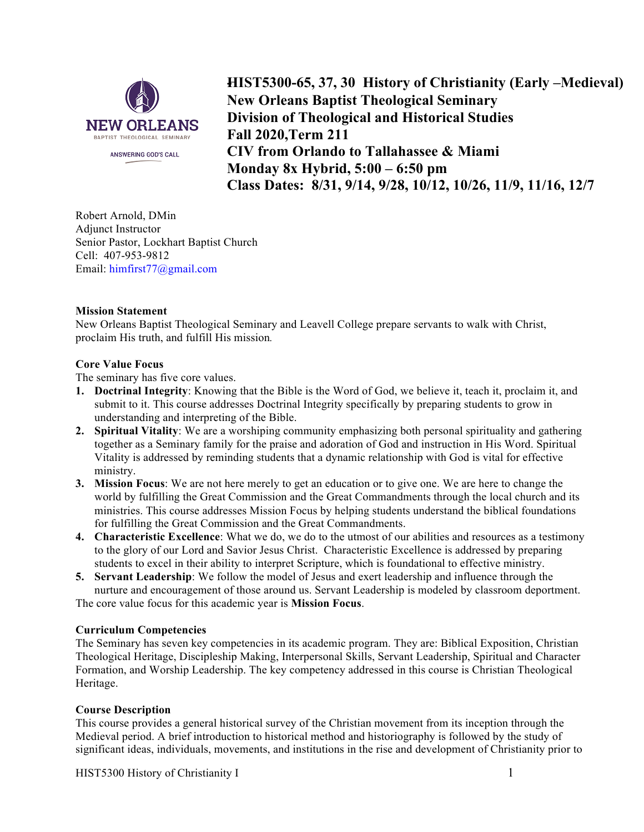

**- HIST5300-65, 37, 30 History of Christianity (Early –Medieval) New Orleans Baptist Theological Seminary Division of Theological and Historical Studies Fall 2020,Term 211 CIV from Orlando to Tallahassee & Miami Monday 8x Hybrid, 5:00 – 6:50 pm Class Dates: 8/31, 9/14, 9/28, 10/12, 10/26, 11/9, 11/16, 12/7**

Robert Arnold, DMin Adjunct Instructor Senior Pastor, Lockhart Baptist Church Cell: 407-953-9812 Email: himfirst77@gmail.com

## **Mission Statement**

New Orleans Baptist Theological Seminary and Leavell College prepare servants to walk with Christ, proclaim His truth, and fulfill His mission*.*

## **Core Value Focus**

The seminary has five core values.

- **1. Doctrinal Integrity**: Knowing that the Bible is the Word of God, we believe it, teach it, proclaim it, and submit to it. This course addresses Doctrinal Integrity specifically by preparing students to grow in understanding and interpreting of the Bible.
- **2. Spiritual Vitality**: We are a worshiping community emphasizing both personal spirituality and gathering together as a Seminary family for the praise and adoration of God and instruction in His Word. Spiritual Vitality is addressed by reminding students that a dynamic relationship with God is vital for effective ministry.
- **3. Mission Focus**: We are not here merely to get an education or to give one. We are here to change the world by fulfilling the Great Commission and the Great Commandments through the local church and its ministries. This course addresses Mission Focus by helping students understand the biblical foundations for fulfilling the Great Commission and the Great Commandments.
- **4. Characteristic Excellence**: What we do, we do to the utmost of our abilities and resources as a testimony to the glory of our Lord and Savior Jesus Christ. Characteristic Excellence is addressed by preparing students to excel in their ability to interpret Scripture, which is foundational to effective ministry.
- **5. Servant Leadership**: We follow the model of Jesus and exert leadership and influence through the nurture and encouragement of those around us. Servant Leadership is modeled by classroom deportment.

The core value focus for this academic year is **Mission Focus**.

# **Curriculum Competencies**

The Seminary has seven key competencies in its academic program. They are: Biblical Exposition, Christian Theological Heritage, Discipleship Making, Interpersonal Skills, Servant Leadership, Spiritual and Character Formation, and Worship Leadership. The key competency addressed in this course is Christian Theological Heritage.

## **Course Description**

This course provides a general historical survey of the Christian movement from its inception through the Medieval period. A brief introduction to historical method and historiography is followed by the study of significant ideas, individuals, movements, and institutions in the rise and development of Christianity prior to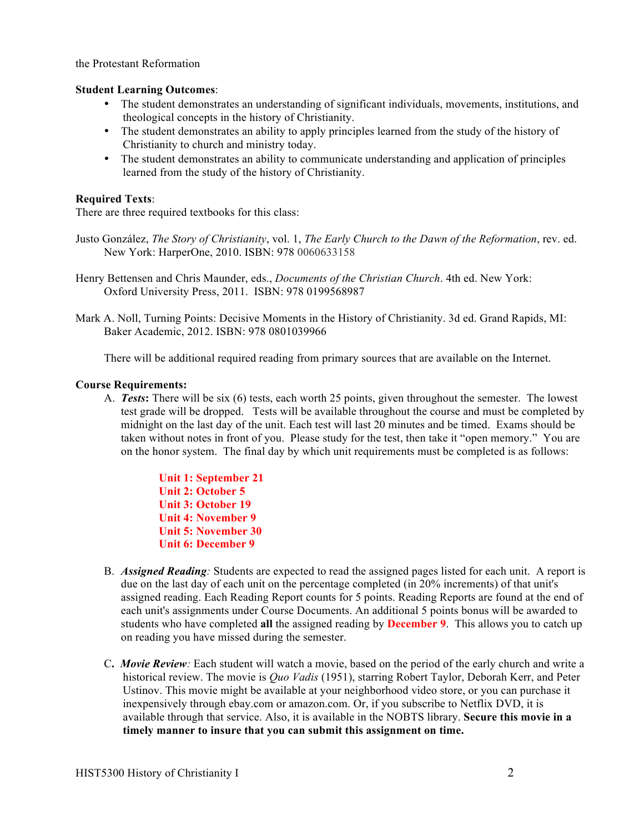the Protestant Reformation

#### **Student Learning Outcomes**:

- The student demonstrates an understanding of significant individuals, movements, institutions, and theological concepts in the history of Christianity.
- The student demonstrates an ability to apply principles learned from the study of the history of Christianity to church and ministry today.
- The student demonstrates an ability to communicate understanding and application of principles learned from the study of the history of Christianity.

#### **Required Texts**:

There are three required textbooks for this class:

- Justo González, *The Story of Christianity*, vol. 1, *The Early Church to the Dawn of the Reformation*, rev. ed. New York: HarperOne, 2010. ISBN: 978 0060633158
- Henry Bettensen and Chris Maunder, eds., *Documents of the Christian Church*. 4th ed. New York: Oxford University Press, 2011. ISBN: 978 0199568987
- Mark A. Noll, Turning Points: Decisive Moments in the History of Christianity. 3d ed. Grand Rapids, MI: Baker Academic, 2012. ISBN: 978 0801039966

There will be additional required reading from primary sources that are available on the Internet.

#### **Course Requirements:**

A. *Tests***:** There will be six (6) tests, each worth 25 points, given throughout the semester. The lowest test grade will be dropped. Tests will be available throughout the course and must be completed by midnight on the last day of the unit. Each test will last 20 minutes and be timed. Exams should be taken without notes in front of you. Please study for the test, then take it "open memory." You are on the honor system. The final day by which unit requirements must be completed is as follows:

> **Unit 1: September 21 Unit 2: October 5 Unit 3: October 19 Unit 4: November 9 Unit 5: November 30 Unit 6: December 9**

- B. *Assigned Reading:* Students are expected to read the assigned pages listed for each unit. A report is due on the last day of each unit on the percentage completed (in 20% increments) of that unit's assigned reading. Each Reading Report counts for 5 points. Reading Reports are found at the end of each unit's assignments under Course Documents. An additional 5 points bonus will be awarded to students who have completed **all** the assigned reading by **December 9**. This allows you to catch up on reading you have missed during the semester.
- C**.** *Movie Review:* Each student will watch a movie, based on the period of the early church and write a historical review. The movie is *Quo Vadis* (1951), starring Robert Taylor, Deborah Kerr, and Peter Ustinov. This movie might be available at your neighborhood video store, or you can purchase it inexpensively through ebay.com or amazon.com. Or, if you subscribe to Netflix DVD, it is available through that service. Also, it is available in the NOBTS library. **Secure this movie in a timely manner to insure that you can submit this assignment on time.**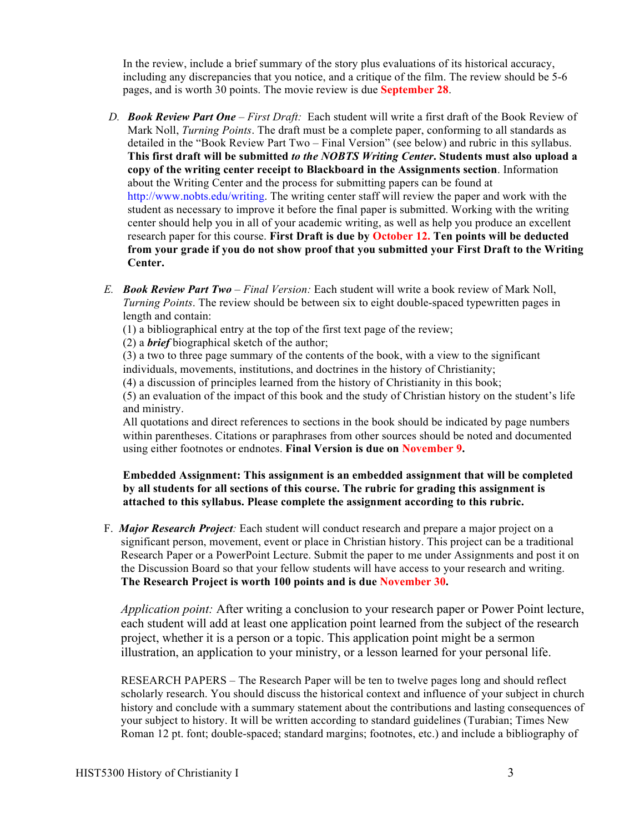In the review, include a brief summary of the story plus evaluations of its historical accuracy, including any discrepancies that you notice, and a critique of the film. The review should be 5-6 pages, and is worth 30 points. The movie review is due **September 28**.

- *D. Book Review Part One – First Draft:* Each student will write a first draft of the Book Review of Mark Noll, *Turning Points*. The draft must be a complete paper, conforming to all standards as detailed in the "Book Review Part Two – Final Version" (see below) and rubric in this syllabus. **This first draft will be submitted** *to the NOBTS Writing Center***. Students must also upload a copy of the writing center receipt to Blackboard in the Assignments section**. Information about the Writing Center and the process for submitting papers can be found at http://www.nobts.edu/writing. The writing center staff will review the paper and work with the student as necessary to improve it before the final paper is submitted. Working with the writing center should help you in all of your academic writing, as well as help you produce an excellent research paper for this course. **First Draft is due by October 12. Ten points will be deducted from your grade if you do not show proof that you submitted your First Draft to the Writing Center.**
- *E. Book Review Part Two – Final Version:* Each student will write a book review of Mark Noll, *Turning Points*. The review should be between six to eight double-spaced typewritten pages in length and contain:
	- (1) a bibliographical entry at the top of the first text page of the review;
	- (2) a *brief* biographical sketch of the author;

(3) a two to three page summary of the contents of the book, with a view to the significant individuals, movements, institutions, and doctrines in the history of Christianity;

(4) a discussion of principles learned from the history of Christianity in this book;

(5) an evaluation of the impact of this book and the study of Christian history on the student's life and ministry.

All quotations and direct references to sections in the book should be indicated by page numbers within parentheses. Citations or paraphrases from other sources should be noted and documented using either footnotes or endnotes. **Final Version is due on November 9.**

**Embedded Assignment: This assignment is an embedded assignment that will be completed by all students for all sections of this course. The rubric for grading this assignment is attached to this syllabus. Please complete the assignment according to this rubric.**

F. *Major Research Project:* Each student will conduct research and prepare a major project on a significant person, movement, event or place in Christian history. This project can be a traditional Research Paper or a PowerPoint Lecture. Submit the paper to me under Assignments and post it on the Discussion Board so that your fellow students will have access to your research and writing. **The Research Project is worth 100 points and is due November 30.**

*Application point:* After writing a conclusion to your research paper or Power Point lecture, each student will add at least one application point learned from the subject of the research project, whether it is a person or a topic. This application point might be a sermon illustration, an application to your ministry, or a lesson learned for your personal life.

RESEARCH PAPERS – The Research Paper will be ten to twelve pages long and should reflect scholarly research. You should discuss the historical context and influence of your subject in church history and conclude with a summary statement about the contributions and lasting consequences of your subject to history. It will be written according to standard guidelines (Turabian; Times New Roman 12 pt. font; double-spaced; standard margins; footnotes, etc.) and include a bibliography of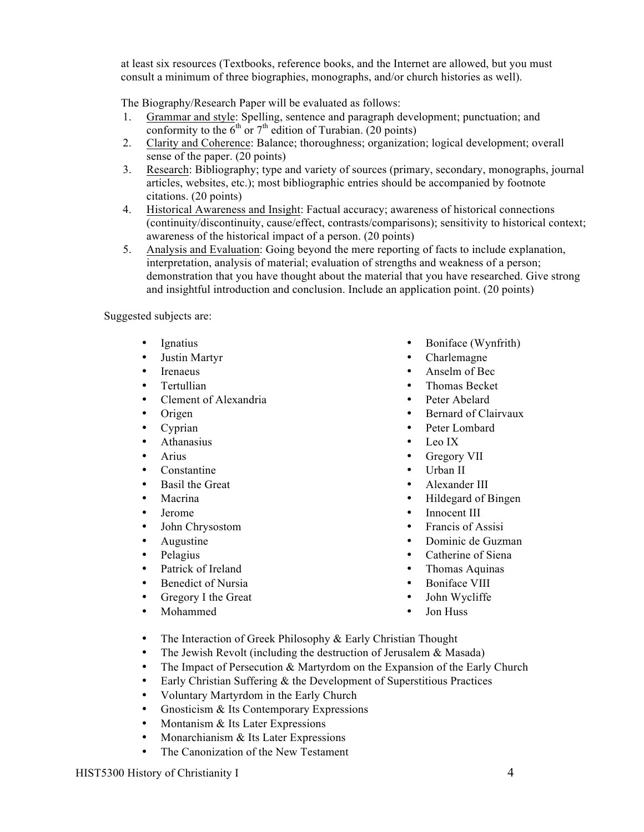at least six resources (Textbooks, reference books, and the Internet are allowed, but you must consult a minimum of three biographies, monographs, and/or church histories as well).

The Biography/Research Paper will be evaluated as follows:

- 1. Grammar and style: Spelling, sentence and paragraph development; punctuation; and conformity to the  $6<sup>th</sup>$  or  $7<sup>th</sup>$  edition of Turabian. (20 points)
- 2. Clarity and Coherence: Balance; thoroughness; organization; logical development; overall sense of the paper. (20 points)
- 3. Research: Bibliography; type and variety of sources (primary, secondary, monographs, journal articles, websites, etc.); most bibliographic entries should be accompanied by footnote citations. (20 points)
- 4. Historical Awareness and Insight: Factual accuracy; awareness of historical connections (continuity/discontinuity, cause/effect, contrasts/comparisons); sensitivity to historical context; awareness of the historical impact of a person. (20 points)
- 5. Analysis and Evaluation: Going beyond the mere reporting of facts to include explanation, interpretation, analysis of material; evaluation of strengths and weakness of a person; demonstration that you have thought about the material that you have researched. Give strong and insightful introduction and conclusion. Include an application point. (20 points)

Suggested subjects are:

- Ignatius
- Justin Martyr
- **Irenaeus**
- Tertullian
- Clement of Alexandria
- Origen
- Cyprian
- Athanasius
- Arius
- Constantine
- Basil the Great
- **Macrina**
- Jerome
- John Chrysostom
- Augustine
- Pelagius
- Patrick of Ireland
- Benedict of Nursia
- Gregory I the Great
- Mohammed
- Boniface (Wynfrith)
- Charlemagne
- Anselm of Bec
- Thomas Becket
- Peter Abelard
- Bernard of Clairvaux
- Peter Lombard
- Leo IX
- Gregory VII
- Urban II
- Alexander III
- Hildegard of Bingen
- Innocent III
- Francis of Assisi
- Dominic de Guzman
- Catherine of Siena
- Thomas Aquinas
- Boniface VIII
- John Wycliffe
- Jon Huss
- The Interaction of Greek Philosophy & Early Christian Thought
- The Jewish Revolt (including the destruction of Jerusalem  $\&$  Masada)
- The Impact of Persecution & Martyrdom on the Expansion of the Early Church
- Early Christian Suffering  $\&$  the Development of Superstitious Practices
- Voluntary Martyrdom in the Early Church
- Gnosticism & Its Contemporary Expressions
- Montanism  $&$  Its Later Expressions
- Monarchianism & Its Later Expressions
- The Canonization of the New Testament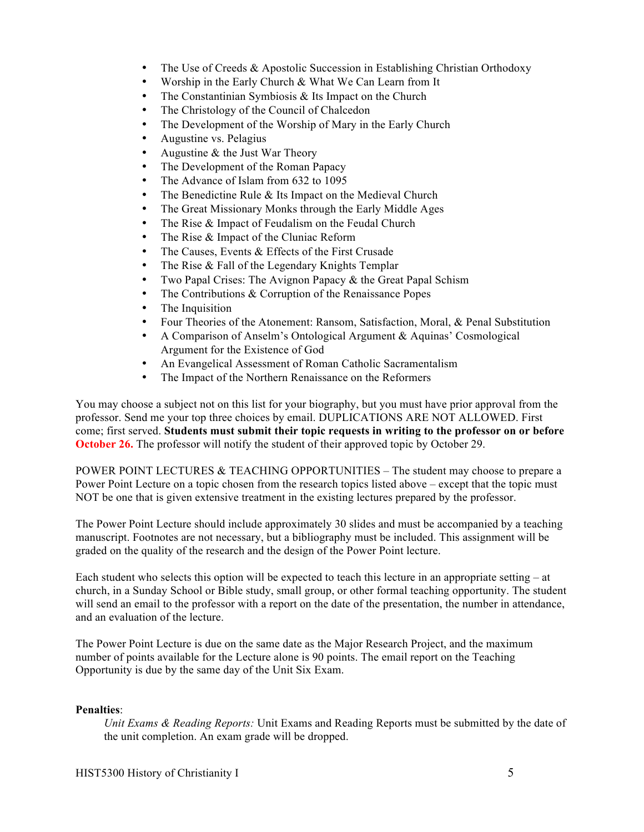- The Use of Creeds & Apostolic Succession in Establishing Christian Orthodoxy
- Worship in the Early Church & What We Can Learn from It
- The Constantinian Symbiosis  $\&$  Its Impact on the Church
- The Christology of the Council of Chalcedon
- The Development of the Worship of Mary in the Early Church
- Augustine vs. Pelagius
- Augustine  $&$  the Just War Theory
- The Development of the Roman Papacy
- The Advance of Islam from 632 to 1095
- The Benedictine Rule & Its Impact on the Medieval Church
- The Great Missionary Monks through the Early Middle Ages
- The Rise & Impact of Feudalism on the Feudal Church
- The Rise & Impact of the Cluniac Reform
- The Causes, Events & Effects of the First Crusade
- The Rise & Fall of the Legendary Knights Templar
- Two Papal Crises: The Avignon Papacy & the Great Papal Schism
- The Contributions & Corruption of the Renaissance Popes
- The Inquisition
- Four Theories of the Atonement: Ransom, Satisfaction, Moral, & Penal Substitution
- A Comparison of Anselm's Ontological Argument & Aquinas' Cosmological Argument for the Existence of God
- An Evangelical Assessment of Roman Catholic Sacramentalism
- The Impact of the Northern Renaissance on the Reformers

You may choose a subject not on this list for your biography, but you must have prior approval from the professor. Send me your top three choices by email. DUPLICATIONS ARE NOT ALLOWED. First come; first served. **Students must submit their topic requests in writing to the professor on or before October 26.** The professor will notify the student of their approved topic by October 29.

POWER POINT LECTURES & TEACHING OPPORTUNITIES – The student may choose to prepare a Power Point Lecture on a topic chosen from the research topics listed above – except that the topic must NOT be one that is given extensive treatment in the existing lectures prepared by the professor.

The Power Point Lecture should include approximately 30 slides and must be accompanied by a teaching manuscript. Footnotes are not necessary, but a bibliography must be included. This assignment will be graded on the quality of the research and the design of the Power Point lecture.

Each student who selects this option will be expected to teach this lecture in an appropriate setting – at church, in a Sunday School or Bible study, small group, or other formal teaching opportunity. The student will send an email to the professor with a report on the date of the presentation, the number in attendance, and an evaluation of the lecture.

The Power Point Lecture is due on the same date as the Major Research Project, and the maximum number of points available for the Lecture alone is 90 points. The email report on the Teaching Opportunity is due by the same day of the Unit Six Exam.

# **Penalties**:

*Unit Exams & Reading Reports:* Unit Exams and Reading Reports must be submitted by the date of the unit completion. An exam grade will be dropped.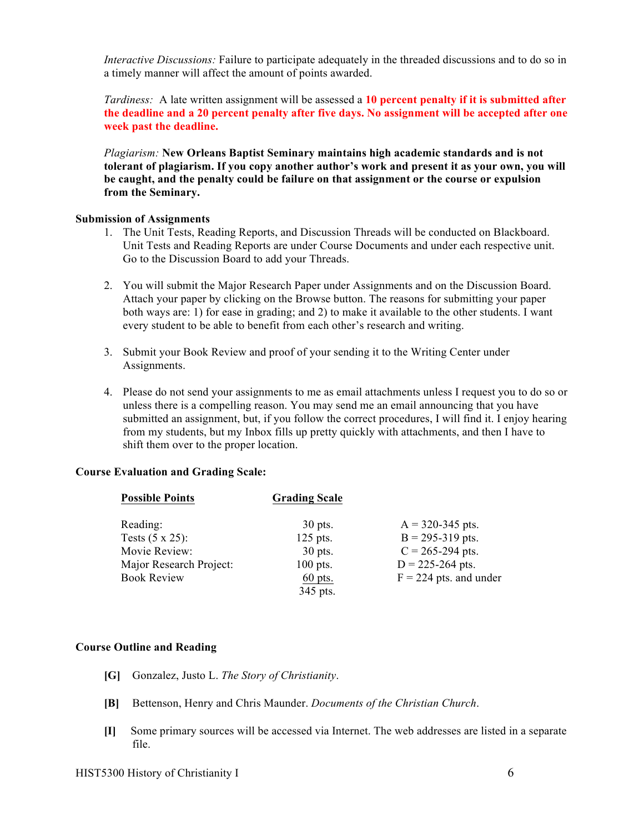*Interactive Discussions:* Failure to participate adequately in the threaded discussions and to do so in a timely manner will affect the amount of points awarded.

*Tardiness:* A late written assignment will be assessed a **10 percent penalty if it is submitted after the deadline and a 20 percent penalty after five days. No assignment will be accepted after one week past the deadline.**

*Plagiarism:* **New Orleans Baptist Seminary maintains high academic standards and is not tolerant of plagiarism. If you copy another author's work and present it as your own, you will be caught, and the penalty could be failure on that assignment or the course or expulsion from the Seminary.**

#### **Submission of Assignments**

- 1. The Unit Tests, Reading Reports, and Discussion Threads will be conducted on Blackboard. Unit Tests and Reading Reports are under Course Documents and under each respective unit. Go to the Discussion Board to add your Threads.
- 2. You will submit the Major Research Paper under Assignments and on the Discussion Board. Attach your paper by clicking on the Browse button. The reasons for submitting your paper both ways are: 1) for ease in grading; and 2) to make it available to the other students. I want every student to be able to benefit from each other's research and writing.
- 3. Submit your Book Review and proof of your sending it to the Writing Center under Assignments.
- 4. Please do not send your assignments to me as email attachments unless I request you to do so or unless there is a compelling reason. You may send me an email announcing that you have submitted an assignment, but, if you follow the correct procedures, I will find it. I enjoy hearing from my students, but my Inbox fills up pretty quickly with attachments, and then I have to shift them over to the proper location.

## **Course Evaluation and Grading Scale:**

| <b>Possible Points</b>  | <b>Grading Scale</b> |                          |
|-------------------------|----------------------|--------------------------|
| Reading:                | $30$ pts.            | $A = 320 - 345$ pts.     |
| Tests $(5 \times 25)$ : | 125 pts.             | $B = 295 - 319$ pts.     |
| Movie Review:           | $30$ pts.            | $C = 265 - 294$ pts.     |
| Major Research Project: | $100$ pts.           | $D = 225 - 264$ pts.     |
| <b>Book Review</b>      | $60$ pts.            | $F = 224$ pts. and under |
|                         | 345 pts.             |                          |

## **Course Outline and Reading**

- **[G]** Gonzalez, Justo L. *The Story of Christianity*.
- **[B]** Bettenson, Henry and Chris Maunder. *Documents of the Christian Church*.
- **[I]** Some primary sources will be accessed via Internet. The web addresses are listed in a separate file.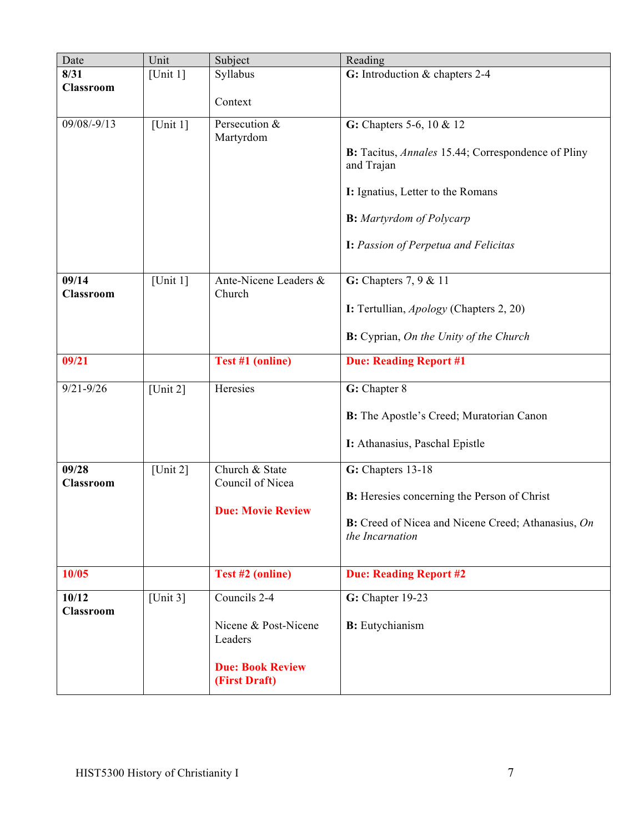| Date                      | Unit        | Subject                                                                                     | Reading                                                                                                                                                                                                      |  |  |
|---------------------------|-------------|---------------------------------------------------------------------------------------------|--------------------------------------------------------------------------------------------------------------------------------------------------------------------------------------------------------------|--|--|
| 8/31                      | [Unit $1$ ] | Syllabus                                                                                    | G: Introduction & chapters 2-4                                                                                                                                                                               |  |  |
| <b>Classroom</b>          |             | Context                                                                                     |                                                                                                                                                                                                              |  |  |
| 09/08/-9/13               | [Unit $1$ ] | Persecution &<br>Martyrdom                                                                  | G: Chapters 5-6, 10 & 12<br>B: Tacitus, Annales 15.44; Correspondence of Pliny<br>and Trajan<br>I: Ignatius, Letter to the Romans<br><b>B:</b> Martyrdom of Polycarp<br>I: Passion of Perpetua and Felicitas |  |  |
| 09/14<br><b>Classroom</b> | [Unit $1$ ] | Ante-Nicene Leaders &<br>Church                                                             | G: Chapters $7, 9 & 11$<br>I: Tertullian, Apology (Chapters 2, 20)<br><b>B:</b> Cyprian, <i>On the Unity of the Church</i>                                                                                   |  |  |
| 09/21                     |             | Test #1 (online)                                                                            | <b>Due: Reading Report #1</b>                                                                                                                                                                                |  |  |
| $9/21 - 9/26$             | [Unit $2$ ] | Heresies                                                                                    | G: Chapter 8<br>B: The Apostle's Creed; Muratorian Canon<br>I: Athanasius, Paschal Epistle                                                                                                                   |  |  |
| 09/28<br>Classroom        | [Unit $2$ ] | Church & State<br>Council of Nicea<br><b>Due: Movie Review</b>                              | G: Chapters 13-18<br><b>B:</b> Heresies concerning the Person of Christ<br>B: Creed of Nicea and Nicene Creed; Athanasius, On<br>the Incarnation                                                             |  |  |
| 10/05                     |             | Test #2 (online)                                                                            | <b>Due: Reading Report #2</b>                                                                                                                                                                                |  |  |
| 10/12<br><b>Classroom</b> | [Unit $3$ ] | Councils 2-4<br>Nicene & Post-Nicene<br>Leaders<br><b>Due: Book Review</b><br>(First Draft) | G: Chapter 19-23<br><b>B:</b> Eutychianism                                                                                                                                                                   |  |  |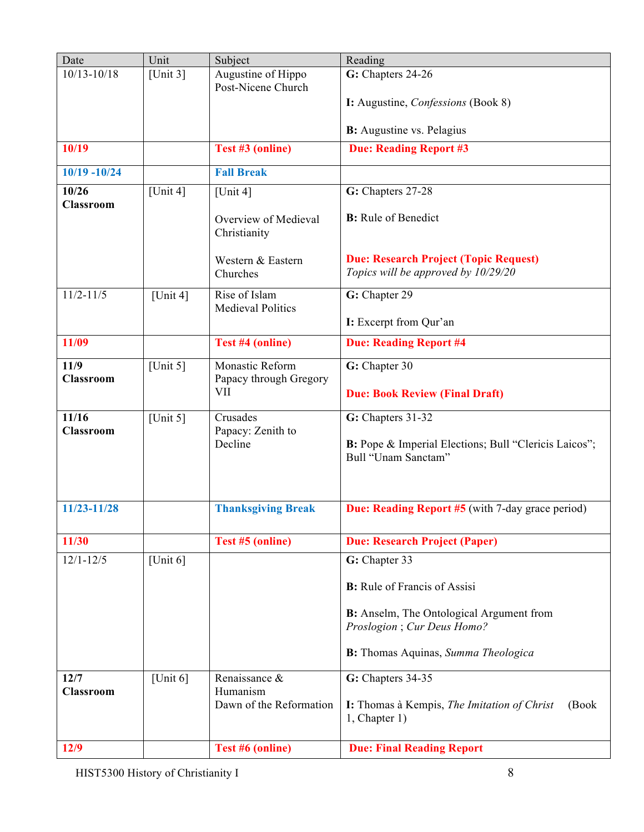| Date                      | Unit        | Subject                                  | Reading                                                                                                  |  |  |
|---------------------------|-------------|------------------------------------------|----------------------------------------------------------------------------------------------------------|--|--|
| $10/13 - 10/18$           | [Unit $3$ ] | Augustine of Hippo<br>Post-Nicene Church | G: Chapters 24-26                                                                                        |  |  |
|                           |             |                                          | I: Augustine, <i>Confessions</i> (Book 8)                                                                |  |  |
|                           |             |                                          | <b>B:</b> Augustine vs. Pelagius                                                                         |  |  |
| 10/19                     |             | Test #3 (online)                         | <b>Due: Reading Report #3</b>                                                                            |  |  |
| $10/19 - 10/24$           |             | <b>Fall Break</b>                        |                                                                                                          |  |  |
| 10/26                     | [Unit 4]    | [Unit 4]                                 | G: Chapters 27-28                                                                                        |  |  |
| <b>Classroom</b>          |             | Overview of Medieval<br>Christianity     | <b>B:</b> Rule of Benedict                                                                               |  |  |
|                           |             | Western & Eastern<br>Churches            | <b>Due: Research Project (Topic Request)</b><br>Topics will be approved by 10/29/20                      |  |  |
| $11/2 - 11/5$             | [Unit 4]    | Rise of Islam                            | G: Chapter 29                                                                                            |  |  |
|                           |             | <b>Medieval Politics</b>                 | I: Excerpt from Qur'an                                                                                   |  |  |
| 11/09                     |             | Test #4 (online)                         | <b>Due: Reading Report #4</b>                                                                            |  |  |
| 11/9                      | [Unit $5$ ] | Monastic Reform                          | G: Chapter 30                                                                                            |  |  |
| <b>Classroom</b>          |             | Papacy through Gregory<br>VII            | <b>Due: Book Review (Final Draft)</b>                                                                    |  |  |
| 11/16<br><b>Classroom</b> | [Unit $5$ ] | Crusades<br>Papacy: Zenith to<br>Decline | G: Chapters 31-32<br><b>B:</b> Pope & Imperial Elections; Bull "Clericis Laicos";<br>Bull "Unam Sanctam" |  |  |
| 11/23-11/28               |             | <b>Thanksgiving Break</b>                | <b>Due: Reading Report #5</b> (with 7-day grace period)                                                  |  |  |
| 11/30                     |             | Test #5 (online)                         | <b>Due: Research Project (Paper)</b>                                                                     |  |  |
| $12/1 - 12/5$             | [Unit $6$ ] |                                          | G: Chapter 33                                                                                            |  |  |
|                           |             |                                          | <b>B:</b> Rule of Francis of Assisi                                                                      |  |  |
|                           |             |                                          | <b>B:</b> Anselm, The Ontological Argument from<br>Proslogion; Cur Deus Homo?                            |  |  |
|                           |             |                                          | <b>B:</b> Thomas Aquinas, Summa Theologica                                                               |  |  |
| 12/7<br><b>Classroom</b>  | [Unit $6$ ] | Renaissance &<br>Humanism                | G: Chapters 34-35                                                                                        |  |  |
|                           |             | Dawn of the Reformation                  | I: Thomas à Kempis, The Imitation of Christ<br>(Book)<br>1, Chapter 1)                                   |  |  |
| 12/9                      |             | Test #6 (online)                         | <b>Due: Final Reading Report</b>                                                                         |  |  |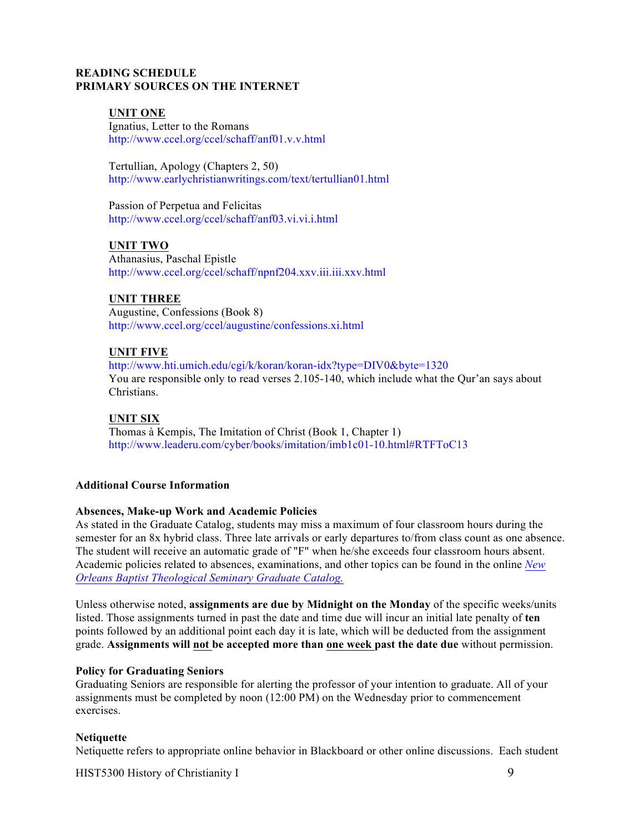# **READING SCHEDULE PRIMARY SOURCES ON THE INTERNET**

# **UNIT ONE**

Ignatius, Letter to the Romans http://www.ccel.org/ccel/schaff/anf01.v.v.html

Tertullian, Apology (Chapters 2, 50) http://www.earlychristianwritings.com/text/tertullian01.html

Passion of Perpetua and Felicitas http://www.ccel.org/ccel/schaff/anf03.vi.vi.i.html

## **UNIT TWO**

Athanasius, Paschal Epistle http://www.ccel.org/ccel/schaff/npnf204.xxv.iii.iii.xxv.html

## **UNIT THREE**

Augustine, Confessions (Book 8) http://www.ccel.org/ccel/augustine/confessions.xi.html

## **UNIT FIVE**

http://www.hti.umich.edu/cgi/k/koran/koran-idx?type=DIV0&byte=1320 You are responsible only to read verses 2.105-140, which include what the Qur'an says about **Christians** 

## **UNIT SIX**

Thomas à Kempis, The Imitation of Christ (Book 1, Chapter 1) http://www.leaderu.com/cyber/books/imitation/imb1c01-10.html#RTFToC13

## **Additional Course Information**

## **Absences, Make-up Work and Academic Policies**

As stated in the Graduate Catalog, students may miss a maximum of four classroom hours during the semester for an 8x hybrid class. Three late arrivals or early departures to/from class count as one absence. The student will receive an automatic grade of "F" when he/she exceeds four classroom hours absent. Academic policies related to absences, examinations, and other topics can be found in the online *New Orleans Baptist Theological Seminary Graduate Catalog.*

Unless otherwise noted, **assignments are due by Midnight on the Monday** of the specific weeks/units listed. Those assignments turned in past the date and time due will incur an initial late penalty of **ten**  points followed by an additional point each day it is late, which will be deducted from the assignment grade. **Assignments will not be accepted more than one week past the date due** without permission.

## **Policy for Graduating Seniors**

Graduating Seniors are responsible for alerting the professor of your intention to graduate. All of your assignments must be completed by noon (12:00 PM) on the Wednesday prior to commencement exercises.

## **Netiquette**

Netiquette refers to appropriate online behavior in Blackboard or other online discussions. Each student

HIST5300 History of Christianity I 9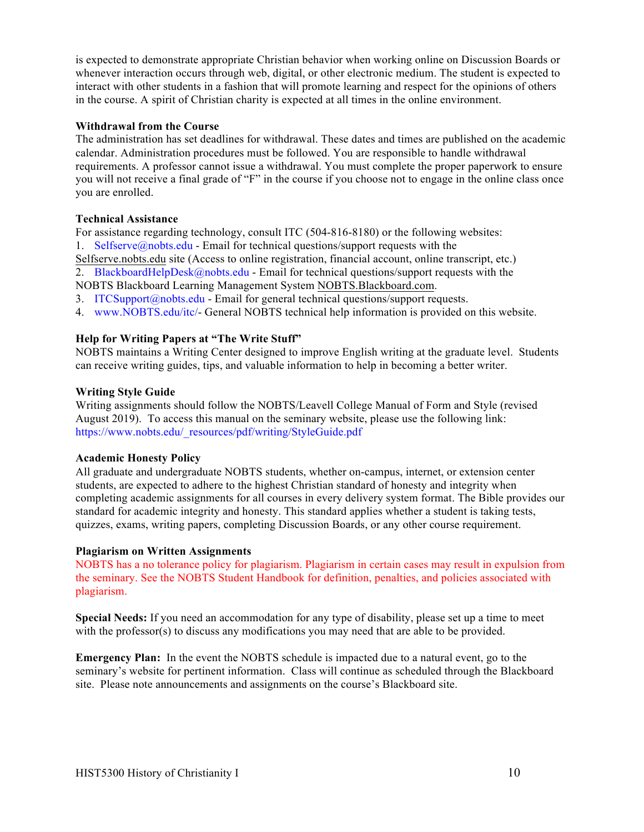is expected to demonstrate appropriate Christian behavior when working online on Discussion Boards or whenever interaction occurs through web, digital, or other electronic medium. The student is expected to interact with other students in a fashion that will promote learning and respect for the opinions of others in the course. A spirit of Christian charity is expected at all times in the online environment.

#### **Withdrawal from the Course**

The administration has set deadlines for withdrawal. These dates and times are published on the academic calendar. Administration procedures must be followed. You are responsible to handle withdrawal requirements. A professor cannot issue a withdrawal. You must complete the proper paperwork to ensure you will not receive a final grade of "F" in the course if you choose not to engage in the online class once you are enrolled.

#### **Technical Assistance**

For assistance regarding technology, consult ITC (504-816-8180) or the following websites: 1. Selfserve@nobts.edu - Email for technical questions/support requests with the

Selfserve.nobts.edu site (Access to online registration, financial account, online transcript, etc.) 2. BlackboardHelpDesk@nobts.edu - Email for technical questions/support requests with the

NOBTS Blackboard Learning Management System NOBTS.Blackboard.com.

- 3. ITCSupport $\left(\frac{\partial n}{\partial x}\right)$  Email for general technical questions/support requests.
- 4. www.NOBTS.edu/itc/- General NOBTS technical help information is provided on this website.

#### **Help for Writing Papers at "The Write Stuff"**

NOBTS maintains a Writing Center designed to improve English writing at the graduate level. Students can receive writing guides, tips, and valuable information to help in becoming a better writer.

#### **Writing Style Guide**

Writing assignments should follow the NOBTS/Leavell College Manual of Form and Style (revised August 2019). To access this manual on the seminary website, please use the following link: https://www.nobts.edu/\_resources/pdf/writing/StyleGuide.pdf

#### **Academic Honesty Policy**

All graduate and undergraduate NOBTS students, whether on-campus, internet, or extension center students, are expected to adhere to the highest Christian standard of honesty and integrity when completing academic assignments for all courses in every delivery system format. The Bible provides our standard for academic integrity and honesty. This standard applies whether a student is taking tests, quizzes, exams, writing papers, completing Discussion Boards, or any other course requirement.

#### **Plagiarism on Written Assignments**

NOBTS has a no tolerance policy for plagiarism. Plagiarism in certain cases may result in expulsion from the seminary. See the NOBTS Student Handbook for definition, penalties, and policies associated with plagiarism.

**Special Needs:** If you need an accommodation for any type of disability, please set up a time to meet with the professor(s) to discuss any modifications you may need that are able to be provided.

**Emergency Plan:** In the event the NOBTS schedule is impacted due to a natural event, go to the seminary's website for pertinent information. Class will continue as scheduled through the Blackboard site. Please note announcements and assignments on the course's Blackboard site.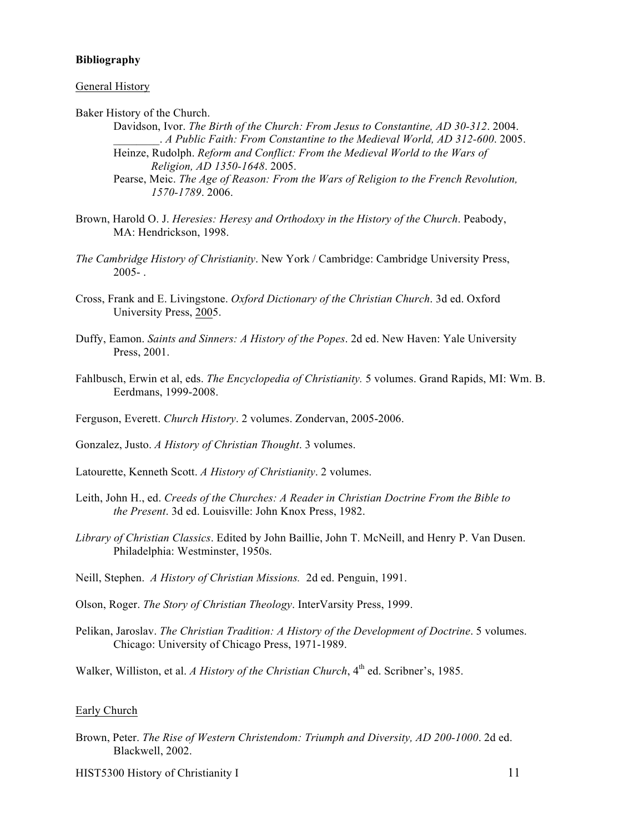#### **Bibliography**

#### General History

Baker History of the Church.

- Davidson, Ivor. *The Birth of the Church: From Jesus to Constantine, AD 30-312*. 2004. \_\_\_\_\_\_\_\_. *A Public Faith: From Constantine to the Medieval World, AD 312-600*. 2005.
- Heinze, Rudolph. *Reform and Conflict: From the Medieval World to the Wars of Religion, AD 1350-1648*. 2005.

- Brown, Harold O. J. *Heresies: Heresy and Orthodoxy in the History of the Church*. Peabody, MA: Hendrickson, 1998.
- *The Cambridge History of Christianity*. New York / Cambridge: Cambridge University Press,  $2005 - 1$
- Cross, Frank and E. Livingstone. *Oxford Dictionary of the Christian Church*. 3d ed. Oxford University Press, 2005.
- Duffy, Eamon. *Saints and Sinners: A History of the Popes*. 2d ed. New Haven: Yale University Press, 2001.
- Fahlbusch, Erwin et al, eds. *The Encyclopedia of Christianity.* 5 volumes. Grand Rapids, MI: Wm. B. Eerdmans, 1999-2008.
- Ferguson, Everett. *Church History*. 2 volumes. Zondervan, 2005-2006.
- Gonzalez, Justo. *A History of Christian Thought*. 3 volumes.
- Latourette, Kenneth Scott. *A History of Christianity*. 2 volumes.
- Leith, John H., ed. *Creeds of the Churches: A Reader in Christian Doctrine From the Bible to the Present*. 3d ed. Louisville: John Knox Press, 1982.
- *Library of Christian Classics*. Edited by John Baillie, John T. McNeill, and Henry P. Van Dusen. Philadelphia: Westminster, 1950s.
- Neill, Stephen. *A History of Christian Missions.* 2d ed. Penguin, 1991.
- Olson, Roger. *The Story of Christian Theology*. InterVarsity Press, 1999.
- Pelikan, Jaroslav. *The Christian Tradition: A History of the Development of Doctrine*. 5 volumes. Chicago: University of Chicago Press, 1971-1989.
- Walker, Williston, et al. *A History of the Christian Church*, 4<sup>th</sup> ed. Scribner's, 1985.

#### Early Church

Brown, Peter. *The Rise of Western Christendom: Triumph and Diversity, AD 200-1000*. 2d ed. Blackwell, 2002.

HIST5300 History of Christianity I 11

Pearse, Meic. *The Age of Reason: From the Wars of Religion to the French Revolution, 1570-1789*. 2006.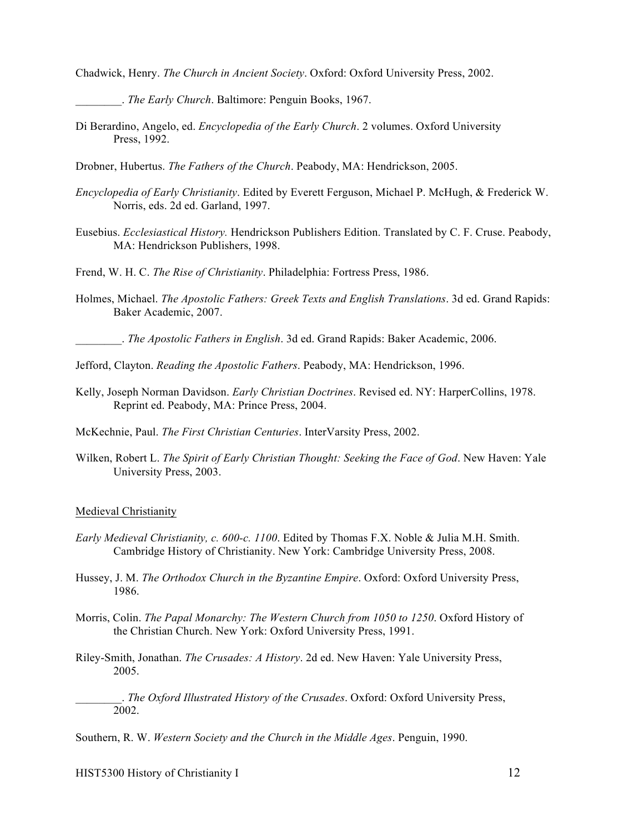Chadwick, Henry. *The Church in Ancient Society*. Oxford: Oxford University Press, 2002.

\_\_\_\_\_\_\_\_. *The Early Church*. Baltimore: Penguin Books, 1967.

- Di Berardino, Angelo, ed. *Encyclopedia of the Early Church*. 2 volumes. Oxford University Press, 1992.
- Drobner, Hubertus. *The Fathers of the Church*. Peabody, MA: Hendrickson, 2005.
- *Encyclopedia of Early Christianity*. Edited by Everett Ferguson, Michael P. McHugh, & Frederick W. Norris, eds. 2d ed. Garland, 1997.
- Eusebius. *Ecclesiastical History.* Hendrickson Publishers Edition. Translated by C. F. Cruse. Peabody, MA: Hendrickson Publishers, 1998.
- Frend, W. H. C. *The Rise of Christianity*. Philadelphia: Fortress Press, 1986.
- Holmes, Michael. *The Apostolic Fathers: Greek Texts and English Translations*. 3d ed. Grand Rapids: Baker Academic, 2007.
	- \_\_\_\_\_\_\_\_. *The Apostolic Fathers in English*. 3d ed. Grand Rapids: Baker Academic, 2006.
- Jefford, Clayton. *Reading the Apostolic Fathers*. Peabody, MA: Hendrickson, 1996.
- Kelly, Joseph Norman Davidson. *Early Christian Doctrines*. Revised ed. NY: HarperCollins, 1978. Reprint ed. Peabody, MA: Prince Press, 2004.
- McKechnie, Paul. *The First Christian Centuries*. InterVarsity Press, 2002.
- Wilken, Robert L. *The Spirit of Early Christian Thought: Seeking the Face of God*. New Haven: Yale University Press, 2003.

#### Medieval Christianity

- *Early Medieval Christianity, c. 600-c. 1100*. Edited by Thomas F.X. Noble & Julia M.H. Smith. Cambridge History of Christianity. New York: Cambridge University Press, 2008.
- Hussey, J. M. *The Orthodox Church in the Byzantine Empire*. Oxford: Oxford University Press, 1986.
- Morris, Colin. *The Papal Monarchy: The Western Church from 1050 to 1250*. Oxford History of the Christian Church. New York: Oxford University Press, 1991.
- Riley-Smith, Jonathan. *The Crusades: A History*. 2d ed. New Haven: Yale University Press, 2005.

\_\_\_\_\_\_\_\_. *The Oxford Illustrated History of the Crusades*. Oxford: Oxford University Press, 2002.

Southern, R. W. *Western Society and the Church in the Middle Ages*. Penguin, 1990.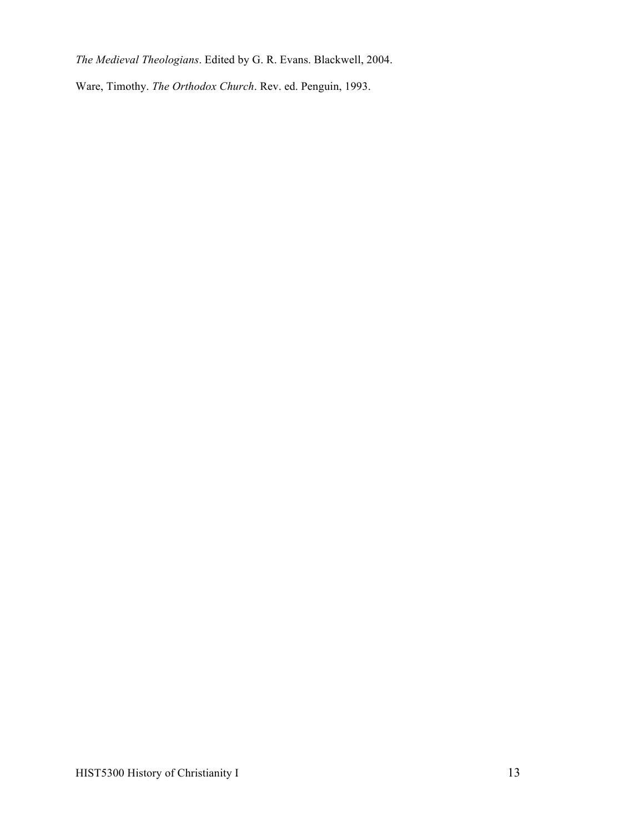*The Medieval Theologians*. Edited by G. R. Evans. Blackwell, 2004.

Ware, Timothy. *The Orthodox Church*. Rev. ed. Penguin, 1993.